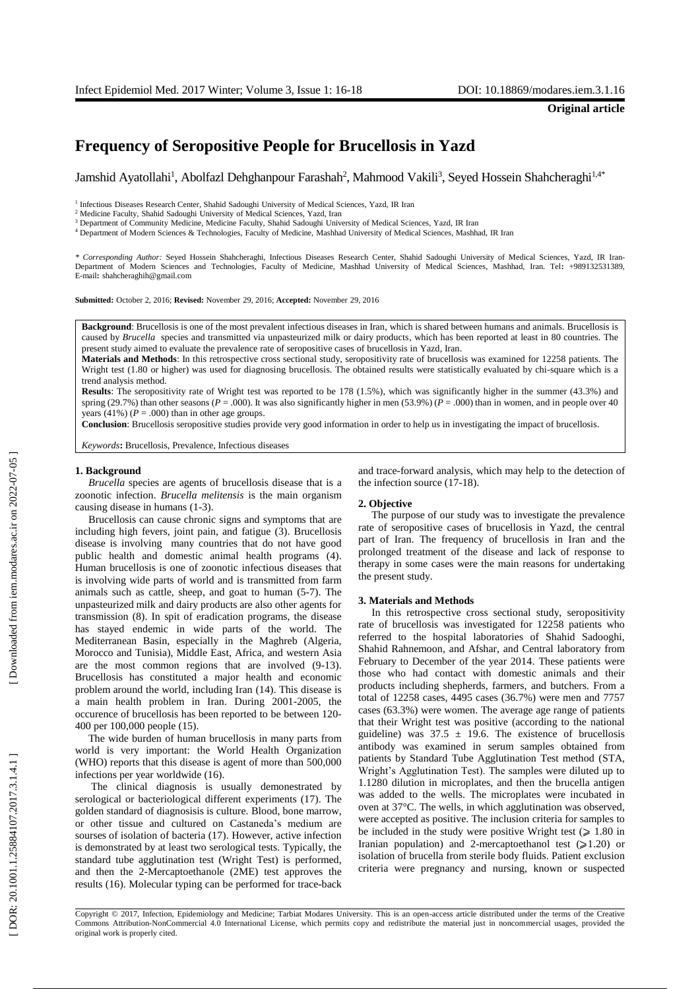**Original article**

# **Frequency of Seropositive People for Brucellosis in Yazd**

Jamshid Ayatollahi<sup>1</sup>, Abolfazl Dehghanpour Farashah<sup>2</sup>, Mahmood Vakili<sup>3</sup>, Seyed Hossein Shahcheraghi<sup>1,4\*</sup>

<sup>1</sup> Infectious Diseases Research Center, Shahid Sadoughi University of Medical Sciences, Yazd, IR Iran

<sup>3</sup> Department of Community Medicine, Medicine Faculty, Shahid Sadoughi University of Medical Sciences, Yazd, IR Iran

<sup>4</sup> Department of Modern Sciences & Technologies, Faculty of Medicine, Mashhad University of Medical Sciences, Mashhad, IR Iran

*\* Corresponding Author:* Seyed Hossein Shahcheraghi, Infectious Diseases Research Center, Shahid Sadoughi University of Medical Sciences, Yazd, IR Iran - Department of Modern Sciences an d Technologies, Faculty of Medicine, Mashhad University of Medical Sciences, Mashhad, Iran. Tel **:** +989132531389, E -mail **:** shahcheraghih@gmail.com

**Submitted:** October 2, 2016; **Revised:** November 29, 2016; **Accepted:** November 29, 2016

**Background**: Brucellosis is one of the most prevalent infectious diseases in Iran , which is shared between humans and animals. Brucellosis is caused by *Brucella* species and transmitted via unpasteurized milk or dairy products, which has been reported at least in 80 countries. The present study aimed to evaluate the prevalence rate of seropositive cases of brucellosis in Yazd, Iran .

**Materials and Methods**: In this retrospective cross sectional study, seropositivity rate of brucellosis was examined for 12258 patients. The Wright test (1.80 or higher) was used for diagnosing brucellosis. The obtained results were statistically evaluated by chi-square which is a trend analysis method.

**Results**: The seropositivity rate of Wright test was reported to be 178 (1.5%), which was significantly higher in the summer (43.3%) and spring  $(29.7%)$  than other seasons  $(P = .000)$ . It was also significantly higher in men  $(53.9%)$   $(P = .000)$  than in women, and in people over 40 years  $(41\%) (P = .000)$  than in other age groups.

Conclusion: Brucellosis seropositive studies provide very good information in order to help us in investigating the impact of brucellosis.

*Keywords* **:** Brucellosis , Prevalence, Infectious diseases

#### **1. Background**

*Brucella* species are agents of brucellosis disease that is a zoonotic infection. *Brucella melitensis* is the main organism causing disease in humans (1-3).

Brucellosis can cause chronic signs and symptoms that are including high fevers, joint pain, and fatigue ( 3 ). Brucellosis disease is involving many countries that do not have good public health and domestic animal health programs ( 4 ) . Human brucellosis is one of zoonotic infectious diseases that is involving wide parts of world and is transmitted from farm animals such as cattle, sheep , and goat to human ( 5 - 7 ) . The unpasteurized milk and dairy products are also other agents for transmission ( 8 ) . In spit of eradication programs, the disease has stayed endemic in wide parts of the world . The Mediterranean Basin, especially in the Maghreb (Algeria, Morocco and Tunisia), Middle East, Africa, and western Asia are the most common regions that are involved (9-13). Brucellosis has constitute d a major health and economic problem around the world , including Iran ( 1 4 ) . This disease is a main health problem in Iran. During 2001 -2005, the occurence of brucellosis has been reported to be between 120 - 400 per 100 ,000 people (15).

The wide burden of human brucellosis in many parts from world is very important: the World Health Organization (WHO) reports that this disease is agent of more than 500,000 infections per year worldwide (16).

The clinical diagnosis is usually demonestrated by serological or bacteriological different experiments (17). The golden standard of diagnosisis is culture. Blood, bone marrow , or other tissue and cultured on Castaneda's medium are sourses of isolation of bacteria ( 1 7 ) . However, active infection is demonstrated by at least two serological tests. Typically, the standard tube agglutination test (Wright Test) is performed , and then the 2 -Mercaptoethanole (2ME) test approves the results (16). Molecular typing can be performed for trace-back and trace -forward analysis , which may help to the detection of the infection source (17-18).

#### **2. Objective**

The purpose of our study was to investigate the prevalence rate of seropositive cases of brucellosis in Yazd, the central part of Iran . The frequency of brucellosis in Iran and the prolonged treatment of the disease and lack of response to therapy in some cases were the main reasons for undertaking the present study .

#### **3. Materials and Method s**

In this retrospective cross sectional study, seropositivity rate of brucellosis was investigated for 12258 patients who referred to the hospital laboratories of Shahid Sadooghi, Shahid Rahnemoon , and Afshar , and Central laboratory from February to December of the year 201 4. These patients were those who had contact with domestic animals and their products including shepherds, farmers , and butchers. From a total of 12258 cases, 4495 cases (36.7%) were m en and 7757 cases (63.3%) were wom en. The average age range of patients that their Wright test was positive (according to the national guideline) was  $37.5 \pm 19.6$ . The existence of brucellosis antibody was examined in serum samples obtained from patients by Standard Tube Agglutination Test method (STA, Wright's Agglutination Test). The samples were diluted up to 1.1280 dilution in microplates, and then the brucella antigen was added to the wells. The microplate s were incubated in oven at 37°C. The wells, in which agglutination was observed, were accepted as positive. The inclusion criteria for samples to be included in the study were positive Wright test  $( \geq 1.80$  in Iranian population) and 2-mercaptoethanol test  $(\geq 1.20)$  or isolation of brucella from sterile body fluids. Patient exclusion criteria were pregnancy and nursing, known or suspected

<sup>2</sup> Medicine Faculty, Shahid Sadoughi University of Medical Sciences, Yazd, Iran

Copyright © 2017, Infection, Epidemiology and Medicine; Tarbiat Modares University. This is an open -access article distributed under the terms of the Creative Commons Attribution -NonCommercial 4.0 International License, which permits copy and redistribute the material just in noncommercial usages, provided the original work is properly cited .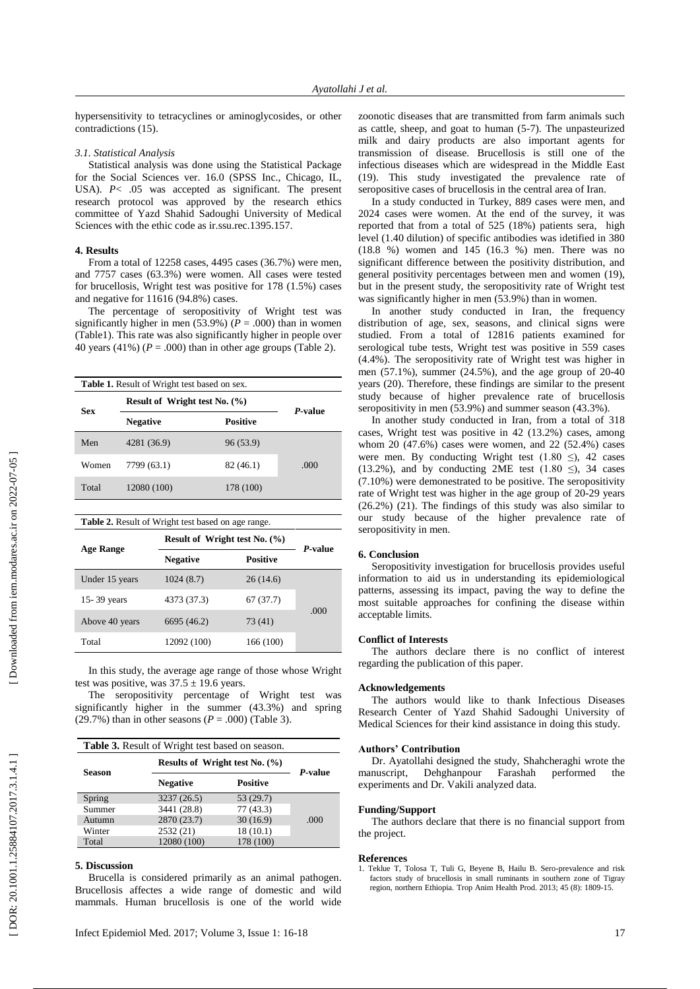hypersensitivity to tetracyclines or aminoglycosides, or other contradictions (15).

## *3.1. Statistical Analysis*

Statistical analysis was done using the Statistical Package for the Social Sciences ver. 16.0 (SPSS Inc., Chicago, IL, USA). *P*< .05 was accepted as significant. The present research protocol was approved by the research ethics committee of Yazd Shahid Sadoughi University of Medical Sciences with the ethic code as ir.ssu.rec.1395.157.

## **4. Results**

From a total o f 12258 cases, 4495 cases (36.7%) were m e n , and 7757 cases (63.3%) were wom en. All cases were tested for brucellosis , Wright test was positive for 178 (1.5%) cases and negative for 11616 (94.8%) cases.

The percentage of seropositivity of Wright test was significantly higher in men  $(53.9%)$   $(P = .000)$  than in women (Table1) . This rate was also significantly higher in people over 40 years  $(41\%)$  ( $P = .000$ ) than in other age groups (Table 2).

| <b>Table 1.</b> Result of Wright test based on sex. |                                   |           |      |  |  |  |
|-----------------------------------------------------|-----------------------------------|-----------|------|--|--|--|
| <b>Sex</b>                                          | Result of Wright test No. $(\% )$ | P-value   |      |  |  |  |
|                                                     | <b>Negative</b>                   | Positive  |      |  |  |  |
| Men                                                 | 4281 (36.9)                       | 96 (53.9) |      |  |  |  |
| Women                                               | 7799 (63.1)                       | 82 (46.1) | .000 |  |  |  |
| Total                                               | 12080 (100)                       | 178 (100) |      |  |  |  |

| <b>Table 2.</b> Result of Wright test based on age range. |                                   |                 |      |  |  |  |
|-----------------------------------------------------------|-----------------------------------|-----------------|------|--|--|--|
|                                                           | Result of Wright test No. $(\% )$ | P-value         |      |  |  |  |
| Age Range                                                 | <b>Negative</b>                   | <b>Positive</b> |      |  |  |  |
| Under 15 years                                            | 1024(8.7)                         | 26(14.6)        |      |  |  |  |
| 15-39 years                                               | 4373 (37.3)                       | 67(37.7)        |      |  |  |  |
| Above 40 years                                            | 6695 (46.2)                       | 73 (41)         | .000 |  |  |  |
| Total                                                     | 12092 (100)                       | 166 (100)       |      |  |  |  |

In this study, the average age range of those whose Wright test was positive, was  $37.5 \pm 19.6$  years.

The seropositivity percentage of Wright test was significantly higher in the summer (43.3%) and spring  $(29.7%)$  than in other seasons  $(P = .000)$  (Table 3).

| Table 3. Result of Wright test based on season. |                                    |                 |         |  |  |
|-------------------------------------------------|------------------------------------|-----------------|---------|--|--|
|                                                 | Results of Wright test No. $(\% )$ |                 | P-value |  |  |
| <b>Season</b>                                   | <b>Negative</b>                    | <b>Positive</b> |         |  |  |
| Spring                                          | 3237 (26.5)                        | 53(29.7)        |         |  |  |
| Summer                                          | 3441 (28.8)                        | 77(43.3)        |         |  |  |
| Autumn                                          | 2870 (23.7)                        | 30(16.9)        | .000    |  |  |
| Winter                                          | 2532(21)                           | 18(10.1)        |         |  |  |
| Total                                           | 12080 (100)                        | 178 (100)       |         |  |  |

#### **5. Discussion**

Brucella is considered primarily as an animal pathogen . Brucellosis affecte s a wide range of domestic and wild mammals. Human brucellosis is one of the world wide

zoonotic diseases that are transmitted from farm animals such as cattle, sheep , and goat to human (5 -7). The unpasteurized milk and dairy products are also important agents for transmission of disease. Brucellosis is still one of the infectious diseases which are widespread in the Middle East (19). This study investigated the prevalence rate of seropositive cases of brucellosis in the central area of Iran.

In a study conducted in Turkey , 889 cases were m e n , and 2024 cases were wom en. At the end of the survey, it was reported that from a total of 525 (18%) patients sera, high level (1 .40 dilution) of specific antibodies was idetified in 380 (18 .8 %) women and 145 (16 .3 %) men. There was no significant difference between the positivity distribution, and general positivity percentages between men and women (19 ), but in the present study , the seropositivity rate of Wright test was significantly higher in men ( 5 3.9%) than in women .

In another study conducted in Iran , the frequency distribution of age, sex, seasons , and clinical signs were studied. From a total of 12816 patients examined for serological tube tests, Wright test was positive in 559 cases (4.4%). The seropositivity rate of Wright test was higher in men (57.1%), summer (24.5%) , and the age group of 20 -40 years (20 ). Therefore, these findings are similar to the present study because of highe r prevalence rate of brucellosis seropositivity in men (53.9%) and summer season (43.3%).

In another study conducted in Iran , from a total of 318 cases, Wright test was positive in 42 (13.2%) cases, among whom 20 (47.6%) cases were women, and 22 (52.4%) cases were men. By conducting Wright test  $(1.80 \le)$ , 42 cases (13.2%), and by conducting 2ME test (1.80  $\leq$ ), 34 cases (7.10%) were demonestrated to be positive. The seropositivity rate of Wright test was higher in the age group of 20 -29 years (26.2%) (21 ). The findings of this study was also similar to our study because of the higher prevalence rate of seropositivity in men .

#### **6. Conclusion**

Seropositivity investigation for brucellosis provides useful information to aid us in understanding its epidemiological patterns , assessing its impact, paving the way to define the most suitable approaches for confining the disease within acceptable limits.

### **Conflict of Interests**

The authors declare there is no conflict of interest regarding the publication of this paper.

## **Acknowledgements**

The authors would like to thank Infectious Diseases Research Center of Yazd Shahid Sadoughi University of Medical Sciences for their kind assistance in doing this study.

### **Authors' Contribution**

Dr. Ayatollahi designed the study, Shahcheraghi wrote the manuscript, Dehghanpour Farashah performed the experiments and Dr. Vakili analyzed data.

#### **Funding/Support**

The authors declare that there is no financial support from the project.

#### **References**

1. Teklue T, Tolosa T, Tuli G, Beyene B, Hailu B. Sero -prevalence and risk factors study of brucellosis in small ruminants in southern zone of Tigray region, northern Ethiopia. Trop Anim Health Prod . 2013; 45 (8): 1809 -15.